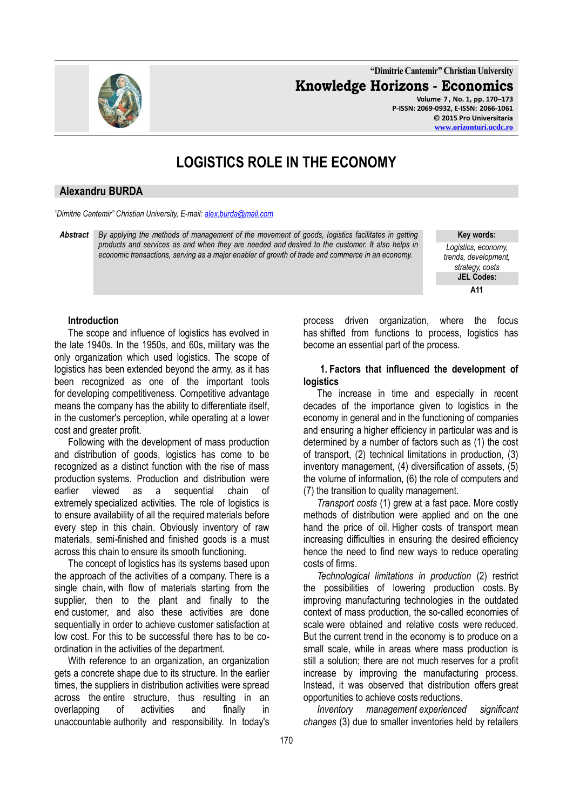**"Dimitrie Cantemir" Christian University Knowledge Horizons - Economics Volume 7 , No. 1, pp. 170–173**

**P-ISSN: 2069-0932, E-ISSN: 2066-1061 © 2015 Pro Universitaria [www.orizonturi.u](http://www.orizonturi/)cdc.ro**

# **LOGISTICS ROLE IN THE ECONOMY**

#### **Alexandru BURDA**

*"Dimitrie Cantemir" Christian University, E-mail[: alex.burda@mail.com](mailto:alex.burda@mail.com)*

*Abstract By applying the methods of management of the movement of goods, logistics facilitates in getting products and services as and when they are needed and desired to the customer. It also helps in economic transactions, serving as a major enabler of growth of trade and commerce in an economy.*

**Key words:**  *Logistics, economy, trends, development, strategy, costs* **JEL Codes: A11**

#### **Introduction**

The scope and influence of logistics has evolved in the late 1940s. In the 1950s, and 60s, military was the only organization which used logistics. The scope of logistics has been extended beyond the army, as it has been recognized as one of the important tools for developing competitiveness. Competitive advantage means the company has the ability to differentiate itself, in the customer's perception, while operating at a lower cost and greater profit.

Following with the development of mass production and distribution of goods, logistics has come to be recognized as a distinct function with the rise of mass production systems. Production and distribution were earlier viewed as a sequential chain of extremely specialized activities. The role of logistics is to ensure availability of all the required materials before every step in this chain. Obviously inventory of raw materials, semi-finished and finished goods is a must across this chain to ensure its smooth functioning.

The concept of logistics has its systems based upon the approach of the activities of a company. There is a single chain, with flow of materials starting from the supplier, then to the plant and finally to the end customer, and also these activities are done sequentially in order to achieve customer satisfaction at low cost. For this to be successful there has to be coordination in the activities of the department.

With reference to an organization, an organization gets a concrete shape due to its structure. In the earlier times, the suppliers in distribution activities were spread across the entire structure, thus resulting in an overlapping of activities and finally in unaccountable authority and responsibility. In today's

process driven organization, where the focus has shifted from functions to process, logistics has become an essential part of the process.

#### **1. Factors that influenced the development of logistics**

The increase in time and especially in recent decades of the importance given to logistics in the economy in general and in the functioning of companies and ensuring a higher efficiency in particular was and is determined by a number of factors such as (1) the cost of transport, (2) technical limitations in production, (3) inventory management, (4) diversification of assets, (5) the volume of information, (6) the role of computers and (7) the transition to quality management.

*Transport costs* (1) grew at a fast pace. More costly methods of distribution were applied and on the one hand the price of oil. Higher costs of transport mean increasing difficulties in ensuring the desired efficiency hence the need to find new ways to reduce operating costs of firms.

*Technological limitations in production* (2) restrict the possibilities of lowering production costs. By improving manufacturing technologies in the outdated context of mass production, the so-called economies of scale were obtained and relative costs were reduced. But the current trend in the economy is to produce on a small scale, while in areas where mass production is still a solution; there are not much reserves for a profit increase by improving the manufacturing process. Instead, it was observed that distribution offers great opportunities to achieve costs reductions.

*Inventory management experienced significant changes* (3) due to smaller inventories held by retailers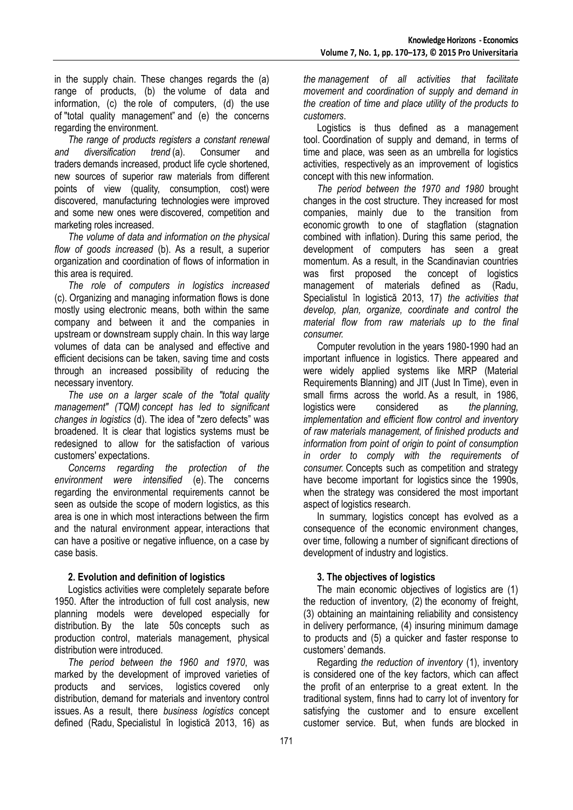in the supply chain. These changes regards the (a) range of products, (b) the volume of data and information, (c) the role of computers, (d) the use of "total quality management" and (e) the concerns regarding the environment.

*The range of products registers a constant renewal and diversification trend* (a). Consumer and traders demands increased, product life cycle shortened, new sources of superior raw materials from different points of view (quality, consumption, cost) were discovered, manufacturing technologies were improved and some new ones were discovered, competition and marketing roles increased.

*The volume of data and information on the physical flow of goods increased* (b). As a result, a superior organization and coordination of flows of information in this area is required.

*The role of computers in logistics increased* (c). Organizing and managing information flows is done mostly using electronic means, both within the same company and between it and the companies in upstream or downstream supply chain. In this way large volumes of data can be analysed and effective and efficient decisions can be taken, saving time and costs through an increased possibility of reducing the necessary inventory.

*The use on a larger scale of the "total quality management" (TQM) concept has led to significant changes in logistics* (d). The idea of "zero defects" was broadened. It is clear that logistics systems must be redesigned to allow for the satisfaction of various customers' expectations.

*Concerns regarding the protection of the environment were intensified* (e). The concerns regarding the environmental requirements cannot be seen as outside the scope of modern logistics, as this area is one in which most interactions between the firm and the natural environment appear, interactions that can have a positive or negative influence, on a case by case basis.

## **2. Evolution and definition of logistics**

Logistics activities were completely separate before 1950. After the introduction of full cost analysis, new planning models were developed especially for distribution. By the late 50s concepts such as production control, materials management, physical distribution were introduced.

*The period between the 1960 and 1970*, was marked by the development of improved varieties of products and services, logistics covered only distribution, demand for materials and inventory control issues. As a result, there *business logistics* concept defined (Radu, Specialistul în logistică 2013, 16) as

*the management of all activities that facilitate movement and coordination of supply and demand in the creation of time and place utility of the products to customers*.

Logistics is thus defined as a management tool. Coordination of supply and demand, in terms of time and place, was seen as an umbrella for logistics activities, respectively as an improvement of logistics concept with this new information.

*The period between the 1970 and 1980* brought changes in the cost structure. They increased for most companies, mainly due to the transition from economic growth to one of stagflation (stagnation combined with inflation). During this same period, the development of computers has seen a great momentum. As a result, in the Scandinavian countries was first proposed the concept of logistics management of materials defined as (Radu, Specialistul în logistică 2013, 17) *the activities that develop, plan, organize, coordinate and control the material flow from raw materials up to the final consumer.*

Computer revolution in the years 1980-1990 had an important influence in logistics. There appeared and were widely applied systems like MRP (Material Requirements Blanning) and JIT (Just In Time), even in small firms across the world. As a result, in 1986, logistics were considered as *the planning, implementation and efficient flow control and inventory of raw materials management, of finished products and information from point of origin to point of consumption in order to comply with the requirements of consumer.* Concepts such as competition and strategy have become important for logistics since the 1990s. when the strategy was considered the most important aspect of logistics research.

In summary, logistics concept has evolved as a consequence of the economic environment changes, over time, following a number of significant directions of development of industry and logistics.

## **3. The objectives of logistics**

The main economic objectives of logistics are (1) the reduction of inventory, (2) the economy of freight, (3) obtaining an maintaining reliability and consistency in delivery performance, (4) insuring minimum damage to products and (5) a quicker and faster response to customers' demands.

Regarding *the reduction of inventory* (1), inventory is considered one of the key factors, which can affect the profit of an enterprise to a great extent. In the traditional system, finns had to carry lot of inventory for satisfying the customer and to ensure excellent customer service. But, when funds are blocked in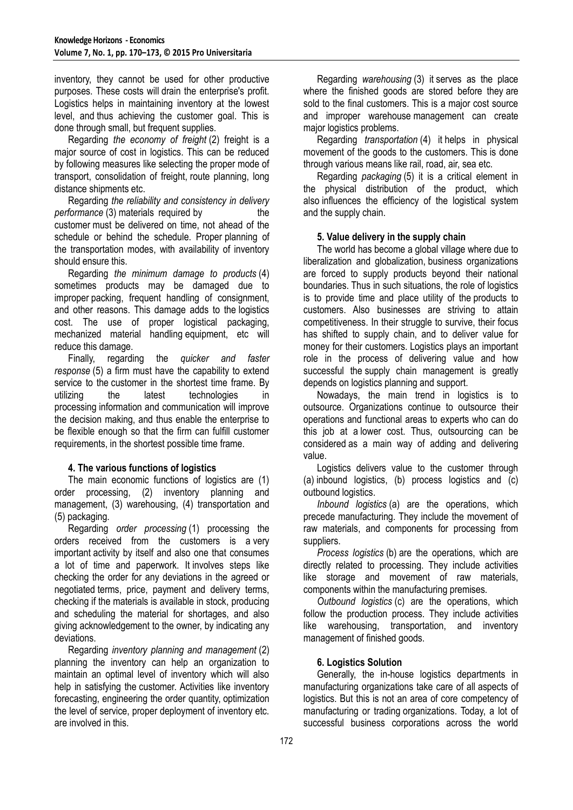inventory, they cannot be used for other productive purposes. These costs will drain the enterprise's profit. Logistics helps in maintaining inventory at the lowest level, and thus achieving the customer goal. This is done through small, but frequent supplies.

Regarding *the economy of freight* (2) freight is a major source of cost in logistics. This can be reduced by following measures like selecting the proper mode of transport, consolidation of freight, route planning, long distance shipments etc.

Regarding *the reliability and consistency in delivery performance* (3) materials required by the customer must be delivered on time, not ahead of the schedule or behind the schedule. Proper planning of the transportation modes, with availability of inventory should ensure this.

Regarding *the minimum damage to products* (4) sometimes products may be damaged due to improper packing, frequent handling of consignment, and other reasons. This damage adds to the logistics cost. The use of proper logistical packaging, mechanized material handling equipment, etc will reduce this damage.

Finally, regarding the *quicker and faster response* (5) a firm must have the capability to extend service to the customer in the shortest time frame. By utilizing the latest technologies in processing information and communication will improve the decision making, and thus enable the enterprise to be flexible enough so that the firm can fulfill customer requirements, in the shortest possible time frame.

## **4. The various functions of logistics**

The main economic functions of logistics are (1) order processing, (2) inventory planning and management, (3) warehousing, (4) transportation and (5) packaging.

Regarding *order processing* (1) processing the orders received from the customers is a very important activity by itself and also one that consumes a lot of time and paperwork. It involves steps like checking the order for any deviations in the agreed or negotiated terms, price, payment and delivery terms, checking if the materials is available in stock, producing and scheduling the material for shortages, and also giving acknowledgement to the owner, by indicating any deviations.

Regarding *inventory planning and management* (2) planning the inventory can help an organization to maintain an optimal level of inventory which will also help in satisfying the customer. Activities like inventory forecasting, engineering the order quantity, optimization the level of service, proper deployment of inventory etc. are involved in this.

Regarding *warehousing* (3) it serves as the place where the finished goods are stored before they are sold to the final customers. This is a major cost source and improper warehouse management can create major logistics problems.

Regarding *transportation* (4) it helps in physical movement of the goods to the customers. This is done through various means like rail, road, air, sea etc.

Regarding *packaging* (5) it is a critical element in the physical distribution of the product, which also influences the efficiency of the logistical system and the supply chain.

## **5. Value delivery in the supply chain**

The world has become a global village where due to liberalization and globalization, business organizations are forced to supply products beyond their national boundaries. Thus in such situations, the role of logistics is to provide time and place utility of the products to customers. Also businesses are striving to attain competitiveness. In their struggle to survive, their focus has shifted to supply chain, and to deliver value for money for their customers. Logistics plays an important role in the process of delivering value and how successful the supply chain management is greatly depends on logistics planning and support.

Nowadays, the main trend in logistics is to outsource. Organizations continue to outsource their operations and functional areas to experts who can do this job at a lower cost. Thus, outsourcing can be considered as a main way of adding and delivering value.

Logistics delivers value to the customer through (a) inbound logistics, (b) process logistics and (c) outbound logistics.

*Inbound logistics* (a) are the operations, which precede manufacturing. They include the movement of raw materials, and components for processing from suppliers.

*Process logistics* (b) are the operations, which are directly related to processing. They include activities like storage and movement of raw materials, components within the manufacturing premises.

*Outbound logistics* (c) are the operations, which follow the production process. They include activities like warehousing, transportation, and inventory management of finished goods.

## **6. Logistics Solution**

Generally, the in-house logistics departments in manufacturing organizations take care of all aspects of logistics. But this is not an area of core competency of manufacturing or trading organizations. Today, a lot of successful business corporations across the world